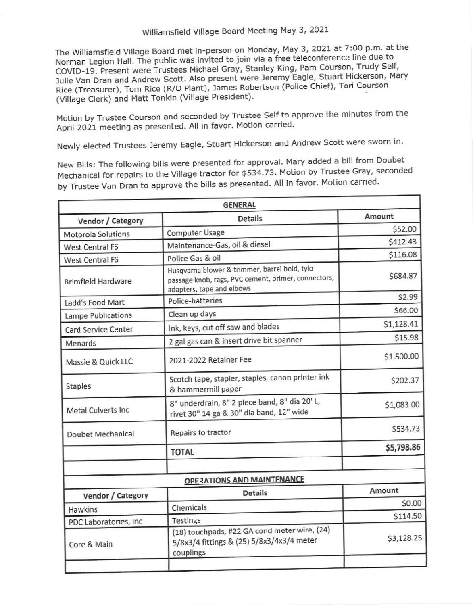## Williamsfield Village Board Meeting May 3, 2021

The Williamsfield Village Board met in-person on Monday, May 3, 2021 at 7:00 p.m. at the Norman Legion Hall. The public was invited to join via a free teleconference line due to COVID-19. Present were Trustees Michael Gray, Stanley King, Pam Courson, Trudy Self, Julie Van Dran and Andrew Scott. Also present were Jeremy Eagle, Stuart Hickerson, Mary Rice (Treasurer), Tom Rice (R/0 Plant), James Robertson (Police Chief), Tori Courson (Village Clerk) and Matt Tonkin (Village President).

Motion by Trustee Courson and seconded by Trustee Self to approve the minutes from the April 2021 meeting as presented. All in favor. Motion carried.

Newly elected Trustees Jeremy Eagle, Stuart Hickerson and Andrew Scott were sworn in.

New Bills: The following bills **were** presented for approval. Mary added a bill from Doubet Mechanical for repairs to the Village tractor for \$534.73 . Motion by Trustee Gray, seconded by Trustee Van Oran to approve the bills as presented. All in favor. Motion carried.

|                           | <b>GENERAL</b>                                                                                                                    |            |
|---------------------------|-----------------------------------------------------------------------------------------------------------------------------------|------------|
| Vendor / Category         | <b>Details</b>                                                                                                                    | Amount     |
| <b>Motorola Solutions</b> | <b>Computer Usage</b>                                                                                                             | \$52.00    |
| West Central FS           | Maintenance-Gas, oil & diesel                                                                                                     | \$412.43   |
| West Central FS           | Police Gas & oil                                                                                                                  | \$116.08   |
| <b>Brimfield Hardware</b> | Husqvarna blower & trimmer, barrel bold, tylo<br>passage knob, rags, PVC cement, primer, connectors,<br>adapters, tape and elbows | \$684.87   |
| Ladd's Food Mart          | Police-batteries                                                                                                                  | \$2.99     |
| Lampe Publications        | Clean up days                                                                                                                     | \$66.00    |
| Card Service Center       | Ink, keys, cut off saw and blades                                                                                                 | \$1,128.41 |
| Menards                   | 2 gal gas can & insert drive bit spanner                                                                                          | \$15.98    |
| Massie & Quick LLC        | 2021-2022 Retainer Fee                                                                                                            | \$1,500.00 |
| Staples                   | Scotch tape, stapler, staples, canon printer ink<br>& hammermill paper                                                            | \$202.37   |
| <b>Metal Culverts Inc</b> | 8" underdrain, 8" 2 piece band, 8" dia 20' L,<br>rivet 30" 14 ga & 30" dia band, 12" wide                                         | \$1,083.00 |
| Doubet Mechanical         | Repairs to tractor                                                                                                                | \$534.73   |
|                           | <b>TOTAL</b>                                                                                                                      | \$5,798.86 |
|                           | <b>OPERATIONS AND MAINTENANCE</b>                                                                                                 |            |
| Vendor / Category         | <b>Details</b>                                                                                                                    | Amount     |
| <b>Hawkins</b>            | Chemicals                                                                                                                         | \$0.00     |
| PDC Laboratories, Inc.    | <b>Testings</b>                                                                                                                   | \$114.50   |
| Core & Main               | (18) touchpads, #22 GA cond meter wire, (24)<br>5/8x3/4 fittings & (25) 5/8x3/4x3/4 meter<br>couplings                            | \$3,128.25 |
|                           |                                                                                                                                   |            |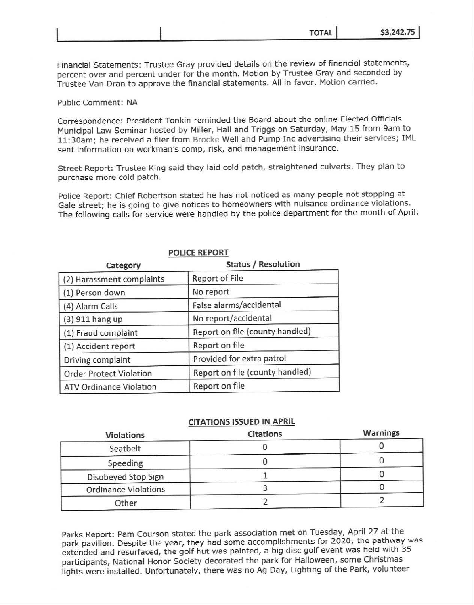|  | ΤΩΤΔΙ | \$3.242.75 |
|--|-------|------------|
|--|-------|------------|

Financial Statements: Trustee Gray provided details on the review of financial statements, percent over and percent under for the month. Motion by Trustee Gray and seconded by Trustee Van Oran to approve the financial statements. All in favor. Motion carried.

Public Comment: NA

Correspondence: President Tonkin reminded the Board about the online Elected Officials Municipal Law Seminar hosted by Miller, Hall and Triggs on Saturday, May 15 from 9am to 11:30am; he received a flier from Brocke Well and Pump Inc advertising their services; IML sent information on workman's comp, risk, and management insurance.

Street Report: Trustee King said they laid cold patch, straightened culverts. They plan to purchase more cold patch.

Police Report: Chief Robertson stated he has not noticed as many people not stopping at Gale street; he is going to give notices to homeowners with nuisance ordinance violations. The following calls for service were handled by the police department for the month of April:

## **POLICE REPORT**

**Category Status / Resolution** 

| Category                       | Status / Resolution             |  |  |
|--------------------------------|---------------------------------|--|--|
| (2) Harassment complaints      | <b>Report of File</b>           |  |  |
| (1) Person down                | No report                       |  |  |
| (4) Alarm Calls                | False alarms/accidental         |  |  |
| (3) 911 hang up                | No report/accidental            |  |  |
| (1) Fraud complaint            | Report on file (county handled) |  |  |
| (1) Accident report            | Report on file                  |  |  |
| Driving complaint              | Provided for extra patrol       |  |  |
| <b>Order Protect Violation</b> | Report on file (county handled) |  |  |
| <b>ATV Ordinance Violation</b> | Report on file                  |  |  |

## **CITATIONS ISSUED IN APRIL**

| Violations                  | <b>Citations</b> | Warnings |
|-----------------------------|------------------|----------|
| Seatbelt                    |                  |          |
| Speeding                    |                  |          |
| Disobeyed Stop Sign         |                  |          |
| <b>Ordinance Violations</b> |                  |          |
| Other                       |                  |          |

Parks Report: Pam Courson stated the park association met on Tuesday, April 27 at the park pavilion. Despite the year, they had some accomplishments for 2020; the pathway was extended and resurfaced, the golf hut was painted, a big disc golf event was held with 35 participants, National Honor Society decorated the park for Halloween, some Christmas lights were installed. Unfortunately, there was no Ag Day, Lighting of the Park, volunteer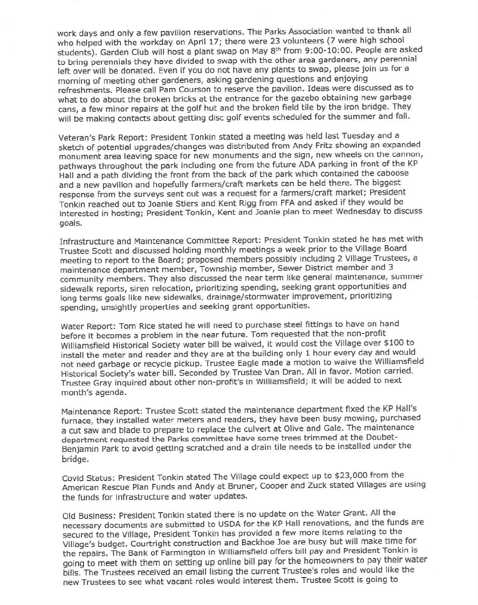work days and only a few pavilion reservations. The Parks Association wanted to thank all who helped with the workday on April 17; there were 23 volunteers (7 were high school students). Garden Club will host a plant swap on May 8th from 9:00-10:00. People are asked to bring perennials they have divided to swap with the other area gardeners, any perennial left over will be donated. Even if you do not have any plants to swap, please join us for a morning of meeting other gardeners, asking gardening questions and enjoying refreshments. Please call Pam Courson to reserve the pavilion. Ideas were discussed as to what to do about the broken bricks at the entrance for the gazebo obtaining new garbage cans, a few minor repairs at the golf hut and the broken field tile by the iron bridge. They will be making contacts about getting disc golf events scheduled for the summer and fall.

Veteran's Park Report: President Tonkin stated a meeting was held last Tuesday and a sketch of potential upgrades/changes was distributed from Andy Fritz showing an expanded monument area leaving space for new monuments and the sign, new wheels on the cannon, pathways throughout the park including one from the future ADA parking in front of the KP Hall and a path dividing the front from the back of the park which contained the caboose and a new pavilion and hopefully farmers/craft markets can be held there. The biggest response from the surveys sent out was a request for a farmers/craft market; President Tonkin reached out to Joanie Stiers and Kent Rigg from FFA and asked if they would be interested in hosting; President Tonkin, Kent and Joanie plan to meet Wednesday to discuss goals.

Covid Status: President Tonkin stated The Village could expect up to \$23,000 from the American Rescue Plan Funds and Andy at Bruner, Cooper and Zuck stated Villages are using the funds for infrastructure and water updates.

Infrastructure and Maintenance Committee Report: President Tonkin stated he has met with Trustee Scott and discussed holding monthly meetings a week prior to the Village Board meeting to report to the Board; proposed members possibly including 2 Village Trustees, a maintenance department member, Township member, Sewer District member and 3 community members. They also discussed the near term like general maintenance, summer sidewalk reports, siren relocation, prioritizing spending, seeking grant opportunities and long terms goals like new sidewalks, drainage/stormwater improvement, prioritizing spending, unsightly properties and seeking grant opportunities.

Water Report: Tom Rice stated he will need to purchase steel fittings to have on hand before it becomes a problem in the near future. Tom requested that the non-profit Williamsfield Historical Society water bill be waived, it would cost the Village over \$100 to install the meter and reader and they are at the building only 1 hour every day and would not need garbage or recycle pickup. Trustee Eagle made a motion to waive the Williamsfield Historical Society's water bill. Seconded by Trustee Van Dran. All in favor. Motion carried. Trustee Gray inquired about other non-profit's in Williamsfield; it will be added to next month's agenda.

Maintenance Report: Trustee Scott stated the maintenance department fixed the KP Hall's furnace, they installed water meters and readers, they have been busy mowing, purchased a cut saw and blade to prepare to replace the culvert at Olive and Gale. The maintenance department requested the Parks committee have some trees trimmed at the Doubet-Benjamin Park to avoid getting scratched and a drain tile needs to be installed under the

## bridge.

Old Business: President Tonkin stated there is no update on the Water Grant. All the necessary documents are submitted to USDA for the KP Hall renovations, and the funds are secured to the Village, President Tonkin has provided a few more items relating to the Village's budget. Courtright construction and Backhoe Joe are busy but will make time for the repairs. The Bank of Farmington in Williamsfield offers bill pay and President Tonkin is going to meet with them on setting up online bill pay for the homeowners to pay their water bills. The Trustees received an email listing the current Trustee's roles and would like the new Trustees to see what vacant roles would interest them. Trustee Scott is going to